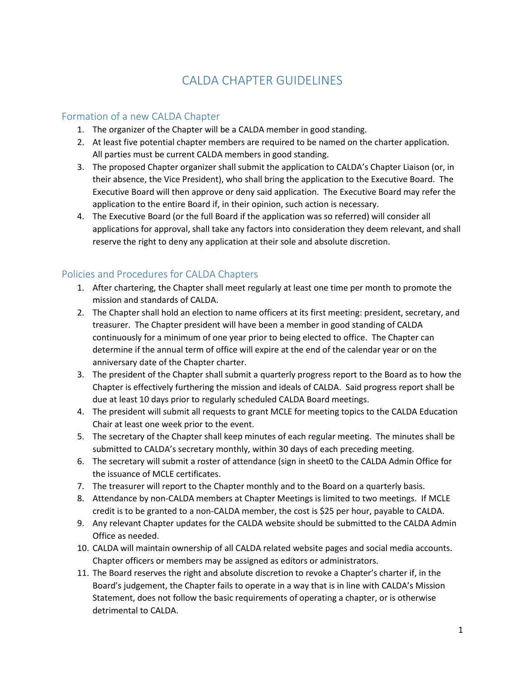## CALDA CHAPTER GUIDELINES

## Formation of a new CALDA Chapter

- 1. The organizer of the Chapter will be a CALDA member in good standing.
- 2. At least five potential chapter members are required to be named on the charter application. All parties must be current CALDA members in good standing.
- 3. The proposed Chapter organizer shall submit the application to CALDA's Chapter Liaison (or, in their absence, the Vice President), who shall bring the application to the Executive Board. The Executive Board will then approve or deny said application. The Executive Board may refer the application to the entire Board if, in their opinion, such action is necessary.
- 4. The Executive Board (or the full Board if the application was so referred) will consider all applications for approval, shall take any factors into consideration they deem relevant, and shall reserve the right to deny any application at their sole and absolute discretion.

## Policies and Procedures for CALDA Chapters

- 1. After chartering, the Chapter shall meet regularly at least one time per month to promote the mission and standards of CALDA.
- 2. The Chapter shall hold an election to name officers at its first meeting: president, secretary, and treasurer. The Chapter president will have been a member in good standing of CALDA continuously for a minimum of one year prior to being elected to office. The Chapter can determine if the annual term of office will expire at the end of the calendar year or on the anniversary date of the Chapter charter.
- 3. The president of the Chapter shall submit a quarterly progress report to the Board as to how the Chapter is effectively furthering the mission and ideals of CALDA. Said progress report shall be due at least 10 days prior to regularly scheduled CALDA Board meetings.
- 4. The president will submit all requests to grant MCLE for meeting topics to the CALDA Education Chair at least one week prior to the event.
- 5. The secretary of the Chapter shall keep minutes of each regular meeting. The minutes shall be submitted to CALDA's secretary monthly, within 30 days of each preceding meeting.
- 6. The secretary will submit a roster of attendance (sign in sheet0 to the CALDA Admin Office for the issuance of MCLE certificates.
- 7. The treasurer will report to the Chapter monthly and to the Board on a quarterly basis.
- 8. Attendance by non-CALDA members at Chapter Meetings is limited to two meetings. If MCLE credit is to be granted to a non-CALDA member, the cost is \$25 per hour, payable to CALDA.
- 9. Any relevant Chapter updates for the CALDA website should be submitted to the CALDA Admin Office as needed.
- 10. CALDA will maintain ownership of all CALDA related website pages and social media accounts. Chapter officers or members may be assigned as editors or administrators.
- 11. The Board reserves the right and absolute discretion to revoke a Chapter's charter if, in the Board's judgement, the Chapter fails to operate in a way that is in line with CALDA's Mission Statement, does not follow the basic requirements of operating a chapter, or is otherwise detrimental to CALDA.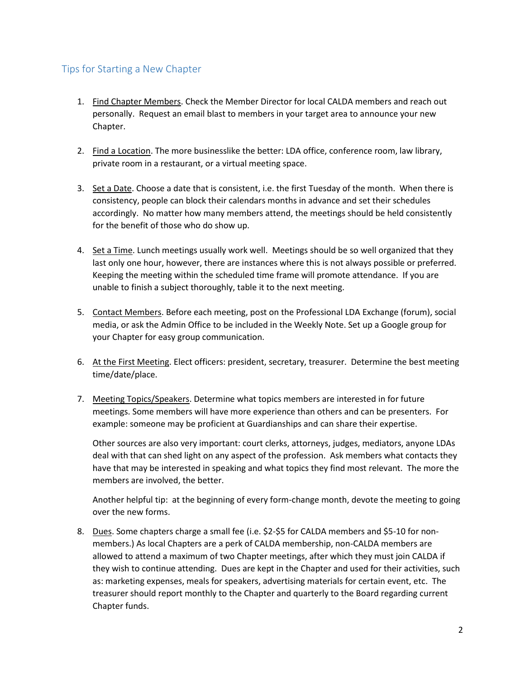## Tips for Starting a New Chapter

- 1. Find Chapter Members. Check the Member Director for local CALDA members and reach out personally. Request an email blast to members in your target area to announce your new Chapter.
- 2. Find a Location. The more businesslike the better: LDA office, conference room, law library, private room in a restaurant, or a virtual meeting space.
- 3. Set a Date. Choose a date that is consistent, i.e. the first Tuesday of the month. When there is consistency, people can block their calendars months in advance and set their schedules accordingly. No matter how many members attend, the meetings should be held consistently for the benefit of those who do show up.
- 4. Set a Time. Lunch meetings usually work well. Meetings should be so well organized that they last only one hour, however, there are instances where this is not always possible or preferred. Keeping the meeting within the scheduled time frame will promote attendance. If you are unable to finish a subject thoroughly, table it to the next meeting.
- 5. Contact Members. Before each meeting, post on the Professional LDA Exchange (forum), social media, or ask the Admin Office to be included in the Weekly Note. Set up a Google group for your Chapter for easy group communication.
- 6. At the First Meeting. Elect officers: president, secretary, treasurer. Determine the best meeting time/date/place.
- 7. Meeting Topics/Speakers. Determine what topics members are interested in for future meetings. Some members will have more experience than others and can be presenters. For example: someone may be proficient at Guardianships and can share their expertise.

Other sources are also very important: court clerks, attorneys, judges, mediators, anyone LDAs deal with that can shed light on any aspect of the profession. Ask members what contacts they have that may be interested in speaking and what topics they find most relevant. The more the members are involved, the better.

Another helpful tip: at the beginning of every form-change month, devote the meeting to going over the new forms.

8. Dues. Some chapters charge a small fee (i.e. \$2-\$5 for CALDA members and \$5-10 for nonmembers.) As local Chapters are a perk of CALDA membership, non-CALDA members are allowed to attend a maximum of two Chapter meetings, after which they must join CALDA if they wish to continue attending. Dues are kept in the Chapter and used for their activities, such as: marketing expenses, meals for speakers, advertising materials for certain event, etc. The treasurer should report monthly to the Chapter and quarterly to the Board regarding current Chapter funds.